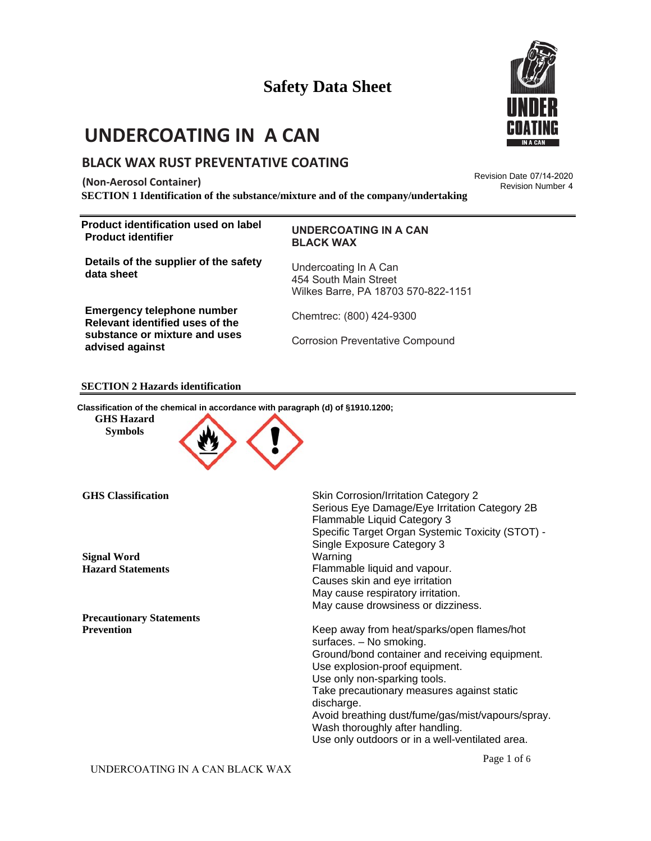# **UNDERCOATING IN A CAN**

### **BLACK WAX RUST PREVENTATIVE COATING**

**(Non-Aerosol Container)**

**SECTION 1 Identification of the substance/mixture and of the company/undertaking**

**Product identification used on label Product identifier** 

#### **UNDERCOATING IN A CAN BLACK WAX**

**Details of the supplier of the safety data sheet** 

**Emergency telephone number Relevant identified uses of the substance or mixture and uses advised against** 

Undercoating In A Can 454 South Main Street Wilkes Barre, PA 18703 570-822-1151

Chemtrec: (800) 424-9300

Corrosion Preventative Compound

#### **SECTION 2 Hazards identification**

**Classification of the chemical in accordance with paragraph (d) of §1910.1200;**

**GHS Hazard Symbols** 



| <b>GHS</b> Classification       | Skin Corrosion/Irritation Category 2<br>Serious Eye Damage/Eye Irritation Category 2B<br>Flammable Liquid Category 3<br>Specific Target Organ Systemic Toxicity (STOT) -<br>Single Exposure Category 3 |
|---------------------------------|--------------------------------------------------------------------------------------------------------------------------------------------------------------------------------------------------------|
| <b>Signal Word</b>              | Warning                                                                                                                                                                                                |
| <b>Hazard Statements</b>        | Flammable liquid and vapour.                                                                                                                                                                           |
|                                 | Causes skin and eye irritation                                                                                                                                                                         |
|                                 | May cause respiratory irritation.                                                                                                                                                                      |
|                                 | May cause drowsiness or dizziness.                                                                                                                                                                     |
| <b>Precautionary Statements</b> |                                                                                                                                                                                                        |
| <b>Prevention</b>               | Keep away from heat/sparks/open flames/hot<br>surfaces. - No smoking.                                                                                                                                  |
|                                 | Ground/bond container and receiving equipment.<br>Use explosion-proof equipment.                                                                                                                       |
|                                 | Use only non-sparking tools.                                                                                                                                                                           |
|                                 | Take precautionary measures against static<br>discharge.                                                                                                                                               |
|                                 | Avoid breathing dust/fume/gas/mist/vapours/spray.<br>Wash thoroughly after handling.                                                                                                                   |
|                                 | Use only outdoors or in a well-ventilated area.                                                                                                                                                        |



Revision Date 07/14-2020 Revision Number 4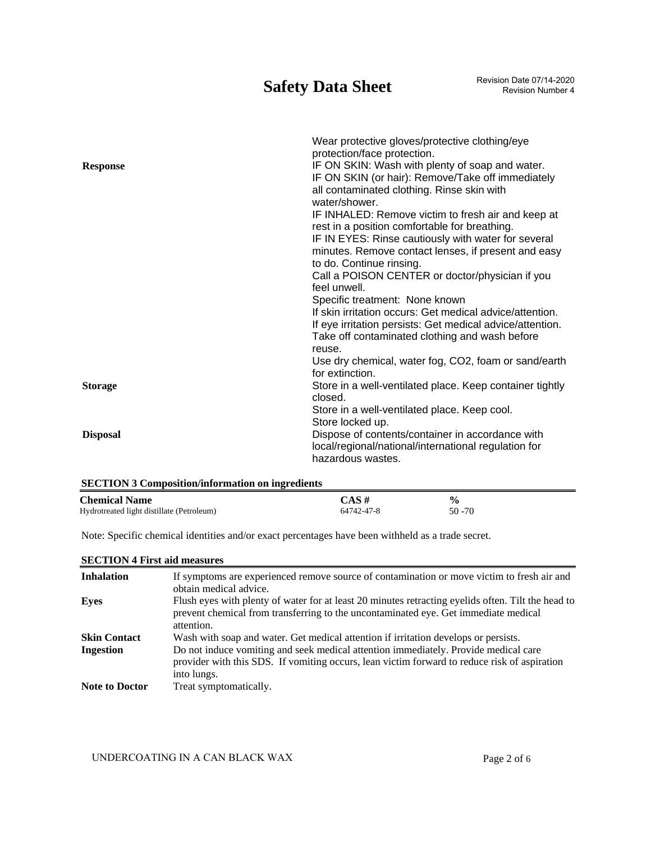# **Safety Data Sheet** Revision Date 07/14-2020

|                 | Wear protective gloves/protective clothing/eye            |
|-----------------|-----------------------------------------------------------|
|                 | protection/face protection.                               |
| <b>Response</b> | IF ON SKIN: Wash with plenty of soap and water.           |
|                 | IF ON SKIN (or hair): Remove/Take off immediately         |
|                 | all contaminated clothing. Rinse skin with                |
|                 | water/shower.                                             |
|                 | IF INHALED: Remove victim to fresh air and keep at        |
|                 | rest in a position comfortable for breathing.             |
|                 | IF IN EYES: Rinse cautiously with water for several       |
|                 | minutes. Remove contact lenses, if present and easy       |
|                 | to do. Continue rinsing.                                  |
|                 | Call a POISON CENTER or doctor/physician if you           |
|                 | feel unwell.                                              |
|                 | Specific treatment: None known                            |
|                 | If skin irritation occurs: Get medical advice/attention.  |
|                 | If eye irritation persists: Get medical advice/attention. |
|                 | Take off contaminated clothing and wash before            |
|                 | reuse.                                                    |
|                 | Use dry chemical, water fog, CO2, foam or sand/earth      |
|                 | for extinction.                                           |
| <b>Storage</b>  | Store in a well-ventilated place. Keep container tightly  |
|                 | closed.                                                   |
|                 | Store in a well-ventilated place. Keep cool.              |
|                 | Store locked up.                                          |
| <b>Disposal</b> | Dispose of contents/container in accordance with          |
|                 | local/regional/national/international regulation for      |
|                 | hazardous wastes.                                         |
|                 |                                                           |

| <b>SECTION 3 Composition/information on ingredients</b> |            |               |  |  |
|---------------------------------------------------------|------------|---------------|--|--|
| <b>Chemical Name</b>                                    | $CAS \#$   | $\frac{0}{0}$ |  |  |
| Hydrotreated light distillate (Petroleum)               | 64742-47-8 | $50 - 70$     |  |  |

Note: Specific chemical identities and/or exact percentages have been withheld as a trade secret.

| <b>SECTION 4 First aid measures</b> |                                                                                                                                                                                                         |
|-------------------------------------|---------------------------------------------------------------------------------------------------------------------------------------------------------------------------------------------------------|
| <b>Inhalation</b>                   | If symptoms are experienced remove source of contamination or move victim to fresh air and<br>obtain medical advice.                                                                                    |
| Eyes                                | Flush eyes with plenty of water for at least 20 minutes retracting eyelids often. Tilt the head to<br>prevent chemical from transferring to the uncontaminated eye. Get immediate medical<br>attention. |
| <b>Skin Contact</b>                 | Wash with soap and water. Get medical attention if irritation develops or persists.                                                                                                                     |
| <b>Ingestion</b>                    | Do not induce vomiting and seek medical attention immediately. Provide medical care<br>provider with this SDS. If vomiting occurs, lean victim forward to reduce risk of aspiration<br>into lungs.      |
| <b>Note to Doctor</b>               | Treat symptomatically.                                                                                                                                                                                  |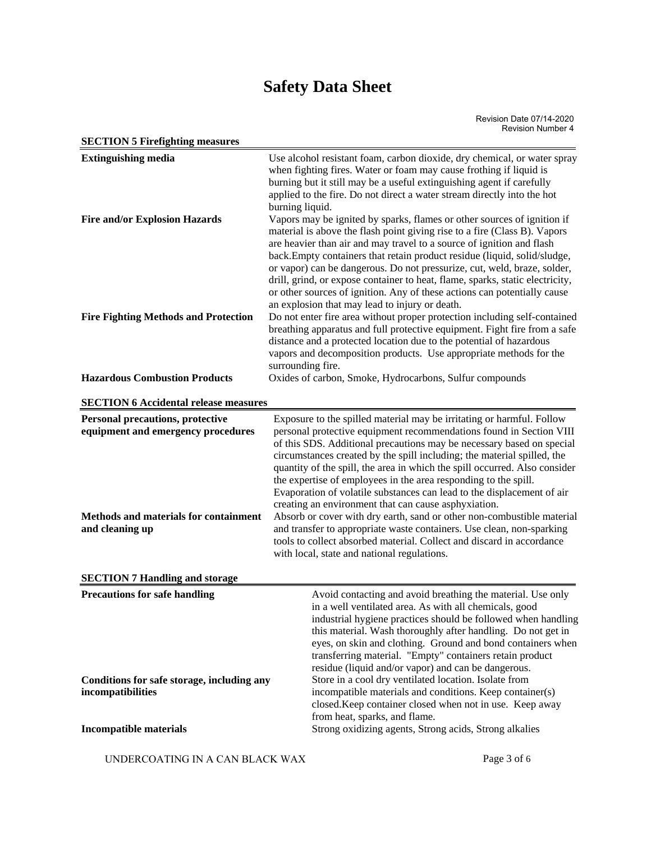| <b>SECTION 5 Firefighting measures</b>                                                           |                                                                                                                                                                                                                                                                                                                                                                                                                                                                                                                                                                                                      |
|--------------------------------------------------------------------------------------------------|------------------------------------------------------------------------------------------------------------------------------------------------------------------------------------------------------------------------------------------------------------------------------------------------------------------------------------------------------------------------------------------------------------------------------------------------------------------------------------------------------------------------------------------------------------------------------------------------------|
| <b>Extinguishing media</b>                                                                       | Use alcohol resistant foam, carbon dioxide, dry chemical, or water spray<br>when fighting fires. Water or foam may cause frothing if liquid is<br>burning but it still may be a useful extinguishing agent if carefully<br>applied to the fire. Do not direct a water stream directly into the hot<br>burning liquid.                                                                                                                                                                                                                                                                                |
| <b>Fire and/or Explosion Hazards</b>                                                             | Vapors may be ignited by sparks, flames or other sources of ignition if<br>material is above the flash point giving rise to a fire (Class B). Vapors<br>are heavier than air and may travel to a source of ignition and flash<br>back.Empty containers that retain product residue (liquid, solid/sludge,<br>or vapor) can be dangerous. Do not pressurize, cut, weld, braze, solder,<br>drill, grind, or expose container to heat, flame, sparks, static electricity,<br>or other sources of ignition. Any of these actions can potentially cause<br>an explosion that may lead to injury or death. |
| <b>Fire Fighting Methods and Protection</b>                                                      | Do not enter fire area without proper protection including self-contained<br>breathing apparatus and full protective equipment. Fight fire from a safe<br>distance and a protected location due to the potential of hazardous<br>vapors and decomposition products. Use appropriate methods for the<br>surrounding fire.                                                                                                                                                                                                                                                                             |
| <b>Hazardous Combustion Products</b>                                                             | Oxides of carbon, Smoke, Hydrocarbons, Sulfur compounds                                                                                                                                                                                                                                                                                                                                                                                                                                                                                                                                              |
| <b>SECTION 6 Accidental release measures</b>                                                     |                                                                                                                                                                                                                                                                                                                                                                                                                                                                                                                                                                                                      |
| <b>Personal precautions, protective</b>                                                          | Exposure to the spilled material may be irritating or harmful. Follow                                                                                                                                                                                                                                                                                                                                                                                                                                                                                                                                |
| equipment and emergency procedures                                                               | personal protective equipment recommendations found in Section VIII<br>of this SDS. Additional precautions may be necessary based on special<br>circumstances created by the spill including; the material spilled, the<br>quantity of the spill, the area in which the spill occurred. Also consider<br>the expertise of employees in the area responding to the spill.<br>Evaporation of volatile substances can lead to the displacement of air<br>creating an environment that can cause asphyxiation.                                                                                           |
| Methods and materials for containment<br>and cleaning up                                         | Absorb or cover with dry earth, sand or other non-combustible material<br>and transfer to appropriate waste containers. Use clean, non-sparking<br>tools to collect absorbed material. Collect and discard in accordance<br>with local, state and national regulations.                                                                                                                                                                                                                                                                                                                              |
| <b>SECTION 7 Handling and storage</b>                                                            |                                                                                                                                                                                                                                                                                                                                                                                                                                                                                                                                                                                                      |
| <b>Precautions for safe handling</b>                                                             | Avoid contacting and avoid breathing the material. Use only<br>in a well ventilated area. As with all chemicals, good<br>industrial hygiene practices should be followed when handling<br>this material. Wash thoroughly after handling. Do not get in<br>eyes, on skin and clothing. Ground and bond containers when<br>transferring material. "Empty" containers retain product<br>residue (liquid and/or vapor) and can be dangerous.                                                                                                                                                             |
| Conditions for safe storage, including any<br>incompatibilities<br><b>Incompatible materials</b> | Store in a cool dry ventilated location. Isolate from<br>incompatible materials and conditions. Keep container(s)<br>closed. Keep container closed when not in use. Keep away<br>from heat, sparks, and flame.<br>Strong oxidizing agents, Strong acids, Strong alkalies                                                                                                                                                                                                                                                                                                                             |
|                                                                                                  |                                                                                                                                                                                                                                                                                                                                                                                                                                                                                                                                                                                                      |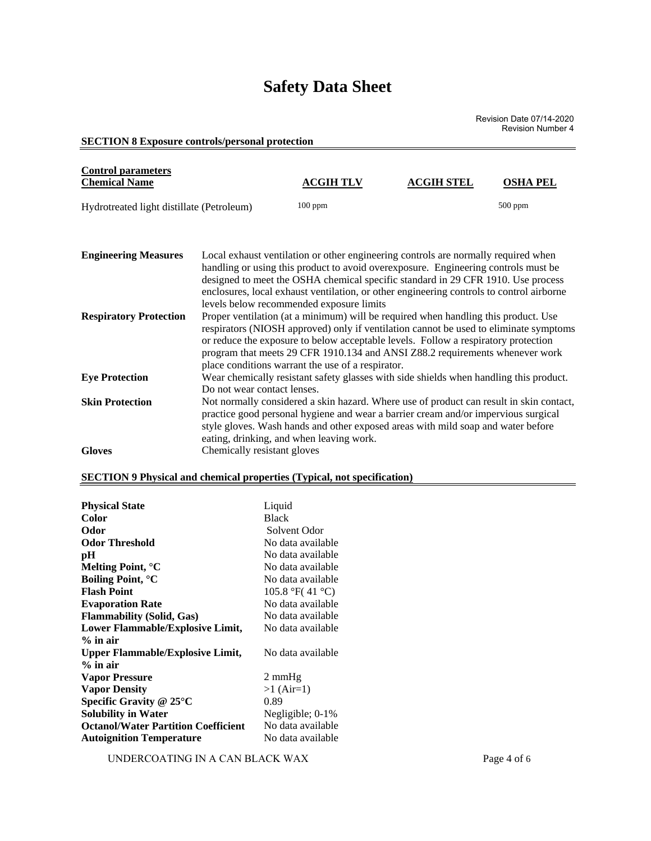Revision Date 07/14-2020 Revision Number 4

#### **SECTION 8 Exposure controls/personal protection**

| <b>Control parameters</b><br><b>Chemical Name</b> |                             | <b>ACGIH TLV</b>                                                                                                                                                                                                                                                                                                                                                                                                                                                                          | <b>ACGIH STEL</b> | <b>OSHA PEL</b> |  |
|---------------------------------------------------|-----------------------------|-------------------------------------------------------------------------------------------------------------------------------------------------------------------------------------------------------------------------------------------------------------------------------------------------------------------------------------------------------------------------------------------------------------------------------------------------------------------------------------------|-------------------|-----------------|--|
| Hydrotreated light distillate (Petroleum)         |                             | $100$ ppm                                                                                                                                                                                                                                                                                                                                                                                                                                                                                 |                   | $500$ ppm       |  |
| <b>Engineering Measures</b>                       |                             | Local exhaust ventilation or other engineering controls are normally required when<br>handling or using this product to avoid overexposure. Engineering controls must be<br>designed to meet the OSHA chemical specific standard in 29 CFR 1910. Use process                                                                                                                                                                                                                              |                   |                 |  |
| <b>Respiratory Protection</b>                     |                             | enclosures, local exhaust ventilation, or other engineering controls to control airborne<br>levels below recommended exposure limits<br>Proper ventilation (at a minimum) will be required when handling this product. Use<br>respirators (NIOSH approved) only if ventilation cannot be used to eliminate symptoms<br>or reduce the exposure to below acceptable levels. Follow a respiratory protection<br>program that meets 29 CFR 1910.134 and ANSI Z88.2 requirements whenever work |                   |                 |  |
| <b>Eye Protection</b>                             | Do not wear contact lenses. | place conditions warrant the use of a respirator.<br>Wear chemically resistant safety glasses with side shields when handling this product.                                                                                                                                                                                                                                                                                                                                               |                   |                 |  |
| <b>Skin Protection</b>                            |                             | Not normally considered a skin hazard. Where use of product can result in skin contact,<br>practice good personal hygiene and wear a barrier cream and/or impervious surgical<br>style gloves. Wash hands and other exposed areas with mild soap and water before<br>eating, drinking, and when leaving work.                                                                                                                                                                             |                   |                 |  |
| <b>Gloves</b>                                     | Chemically resistant gloves |                                                                                                                                                                                                                                                                                                                                                                                                                                                                                           |                   |                 |  |

### **SECTION 9 Physical and chemical properties (Typical, not specification)**

| <b>Physical State</b>                      | Liquid            |
|--------------------------------------------|-------------------|
| Color                                      | <b>Black</b>      |
| Odor                                       | Solvent Odor      |
| <b>Odor Threshold</b>                      | No data available |
| pH                                         | No data available |
| Melting Point, <sup>o</sup> C              | No data available |
| <b>Boiling Point, °C</b>                   | No data available |
| <b>Flash Point</b>                         | 105.8 °F(41 °C)   |
| <b>Evaporation Rate</b>                    | No data available |
| <b>Flammability (Solid, Gas)</b>           | No data available |
| Lower Flammable/Explosive Limit,           | No data available |
| $%$ in air                                 |                   |
| Upper Flammable/Explosive Limit,           | No data available |
| $%$ in air                                 |                   |
| <b>Vapor Pressure</b>                      | 2 mmHg            |
| <b>Vapor Density</b>                       | $>1$ (Air=1)      |
| Specific Gravity @ 25°C                    | 0.89              |
| <b>Solubility in Water</b>                 | Negligible; 0-1%  |
| <b>Octanol/Water Partition Coefficient</b> | No data available |
| <b>Autoignition Temperature</b>            | No data available |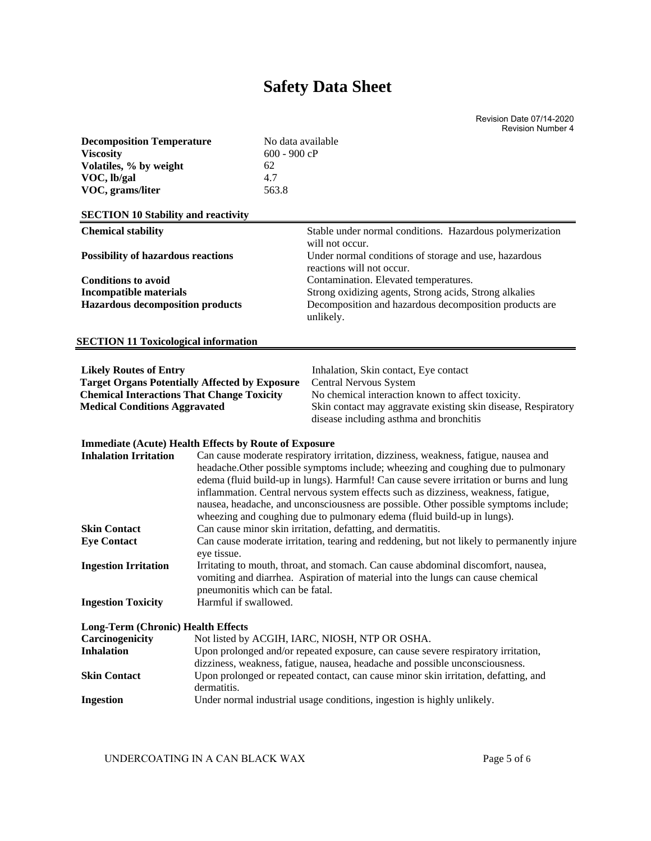Revision Date 07/14-2020 Revision Number 4

| $600 - 900 cP$<br><b>Viscosity</b><br>Volatiles, % by weight<br>62<br>VOC, lb/gal<br>4.7<br>VOC, grams/liter<br>563.8<br><b>SECTION 10 Stability and reactivity</b><br><b>Chemical stability</b><br>Stable under normal conditions. Hazardous polymerization<br>will not occur.<br>Under normal conditions of storage and use, hazardous<br><b>Possibility of hazardous reactions</b><br>reactions will not occur.<br>Contamination. Elevated temperatures.<br><b>Conditions to avoid</b><br><b>Incompatible materials</b><br>Strong oxidizing agents, Strong acids, Strong alkalies<br><b>Hazardous decomposition products</b><br>Decomposition and hazardous decomposition products are<br>unlikely.<br><b>SECTION 11 Toxicological information</b><br><b>Likely Routes of Entry</b><br>Inhalation, Skin contact, Eye contact<br><b>Target Organs Potentially Affected by Exposure</b><br>Central Nervous System<br><b>Chemical Interactions That Change Toxicity</b><br>No chemical interaction known to affect toxicity.<br>Skin contact may aggravate existing skin disease, Respiratory<br><b>Medical Conditions Aggravated</b><br>disease including asthma and bronchitis<br><b>Immediate (Acute) Health Effects by Route of Exposure</b><br><b>Inhalation Irritation</b><br>Can cause moderate respiratory irritation, dizziness, weakness, fatigue, nausea and<br>headache. Other possible symptoms include; wheezing and coughing due to pulmonary<br>edema (fluid build-up in lungs). Harmful! Can cause severe irritation or burns and lung<br>inflammation. Central nervous system effects such as dizziness, weakness, fatigue,<br>nausea, headache, and unconsciousness are possible. Other possible symptoms include;<br>wheezing and coughing due to pulmonary edema (fluid build-up in lungs).<br><b>Skin Contact</b><br>Can cause minor skin irritation, defatting, and dermatitis.<br><b>Eye Contact</b><br>Can cause moderate irritation, tearing and reddening, but not likely to permanently injure<br>eye tissue.<br><b>Ingestion Irritation</b><br>Irritating to mouth, throat, and stomach. Can cause abdominal discomfort, nausea,<br>vomiting and diarrhea. Aspiration of material into the lungs can cause chemical<br>pneumonitis which can be fatal.<br>Harmful if swallowed.<br><b>Ingestion Toxicity</b> |
|-------------------------------------------------------------------------------------------------------------------------------------------------------------------------------------------------------------------------------------------------------------------------------------------------------------------------------------------------------------------------------------------------------------------------------------------------------------------------------------------------------------------------------------------------------------------------------------------------------------------------------------------------------------------------------------------------------------------------------------------------------------------------------------------------------------------------------------------------------------------------------------------------------------------------------------------------------------------------------------------------------------------------------------------------------------------------------------------------------------------------------------------------------------------------------------------------------------------------------------------------------------------------------------------------------------------------------------------------------------------------------------------------------------------------------------------------------------------------------------------------------------------------------------------------------------------------------------------------------------------------------------------------------------------------------------------------------------------------------------------------------------------------------------------------------------------------------------------------------------------------------------------------------------------------------------------------------------------------------------------------------------------------------------------------------------------------------------------------------------------------------------------------------------------------------------------------------------------------------------------------------------------------------------------------------------------------------------------|
|                                                                                                                                                                                                                                                                                                                                                                                                                                                                                                                                                                                                                                                                                                                                                                                                                                                                                                                                                                                                                                                                                                                                                                                                                                                                                                                                                                                                                                                                                                                                                                                                                                                                                                                                                                                                                                                                                                                                                                                                                                                                                                                                                                                                                                                                                                                                           |
|                                                                                                                                                                                                                                                                                                                                                                                                                                                                                                                                                                                                                                                                                                                                                                                                                                                                                                                                                                                                                                                                                                                                                                                                                                                                                                                                                                                                                                                                                                                                                                                                                                                                                                                                                                                                                                                                                                                                                                                                                                                                                                                                                                                                                                                                                                                                           |
|                                                                                                                                                                                                                                                                                                                                                                                                                                                                                                                                                                                                                                                                                                                                                                                                                                                                                                                                                                                                                                                                                                                                                                                                                                                                                                                                                                                                                                                                                                                                                                                                                                                                                                                                                                                                                                                                                                                                                                                                                                                                                                                                                                                                                                                                                                                                           |
|                                                                                                                                                                                                                                                                                                                                                                                                                                                                                                                                                                                                                                                                                                                                                                                                                                                                                                                                                                                                                                                                                                                                                                                                                                                                                                                                                                                                                                                                                                                                                                                                                                                                                                                                                                                                                                                                                                                                                                                                                                                                                                                                                                                                                                                                                                                                           |
|                                                                                                                                                                                                                                                                                                                                                                                                                                                                                                                                                                                                                                                                                                                                                                                                                                                                                                                                                                                                                                                                                                                                                                                                                                                                                                                                                                                                                                                                                                                                                                                                                                                                                                                                                                                                                                                                                                                                                                                                                                                                                                                                                                                                                                                                                                                                           |
|                                                                                                                                                                                                                                                                                                                                                                                                                                                                                                                                                                                                                                                                                                                                                                                                                                                                                                                                                                                                                                                                                                                                                                                                                                                                                                                                                                                                                                                                                                                                                                                                                                                                                                                                                                                                                                                                                                                                                                                                                                                                                                                                                                                                                                                                                                                                           |
|                                                                                                                                                                                                                                                                                                                                                                                                                                                                                                                                                                                                                                                                                                                                                                                                                                                                                                                                                                                                                                                                                                                                                                                                                                                                                                                                                                                                                                                                                                                                                                                                                                                                                                                                                                                                                                                                                                                                                                                                                                                                                                                                                                                                                                                                                                                                           |
|                                                                                                                                                                                                                                                                                                                                                                                                                                                                                                                                                                                                                                                                                                                                                                                                                                                                                                                                                                                                                                                                                                                                                                                                                                                                                                                                                                                                                                                                                                                                                                                                                                                                                                                                                                                                                                                                                                                                                                                                                                                                                                                                                                                                                                                                                                                                           |
|                                                                                                                                                                                                                                                                                                                                                                                                                                                                                                                                                                                                                                                                                                                                                                                                                                                                                                                                                                                                                                                                                                                                                                                                                                                                                                                                                                                                                                                                                                                                                                                                                                                                                                                                                                                                                                                                                                                                                                                                                                                                                                                                                                                                                                                                                                                                           |
|                                                                                                                                                                                                                                                                                                                                                                                                                                                                                                                                                                                                                                                                                                                                                                                                                                                                                                                                                                                                                                                                                                                                                                                                                                                                                                                                                                                                                                                                                                                                                                                                                                                                                                                                                                                                                                                                                                                                                                                                                                                                                                                                                                                                                                                                                                                                           |
|                                                                                                                                                                                                                                                                                                                                                                                                                                                                                                                                                                                                                                                                                                                                                                                                                                                                                                                                                                                                                                                                                                                                                                                                                                                                                                                                                                                                                                                                                                                                                                                                                                                                                                                                                                                                                                                                                                                                                                                                                                                                                                                                                                                                                                                                                                                                           |
|                                                                                                                                                                                                                                                                                                                                                                                                                                                                                                                                                                                                                                                                                                                                                                                                                                                                                                                                                                                                                                                                                                                                                                                                                                                                                                                                                                                                                                                                                                                                                                                                                                                                                                                                                                                                                                                                                                                                                                                                                                                                                                                                                                                                                                                                                                                                           |
|                                                                                                                                                                                                                                                                                                                                                                                                                                                                                                                                                                                                                                                                                                                                                                                                                                                                                                                                                                                                                                                                                                                                                                                                                                                                                                                                                                                                                                                                                                                                                                                                                                                                                                                                                                                                                                                                                                                                                                                                                                                                                                                                                                                                                                                                                                                                           |
|                                                                                                                                                                                                                                                                                                                                                                                                                                                                                                                                                                                                                                                                                                                                                                                                                                                                                                                                                                                                                                                                                                                                                                                                                                                                                                                                                                                                                                                                                                                                                                                                                                                                                                                                                                                                                                                                                                                                                                                                                                                                                                                                                                                                                                                                                                                                           |
|                                                                                                                                                                                                                                                                                                                                                                                                                                                                                                                                                                                                                                                                                                                                                                                                                                                                                                                                                                                                                                                                                                                                                                                                                                                                                                                                                                                                                                                                                                                                                                                                                                                                                                                                                                                                                                                                                                                                                                                                                                                                                                                                                                                                                                                                                                                                           |
|                                                                                                                                                                                                                                                                                                                                                                                                                                                                                                                                                                                                                                                                                                                                                                                                                                                                                                                                                                                                                                                                                                                                                                                                                                                                                                                                                                                                                                                                                                                                                                                                                                                                                                                                                                                                                                                                                                                                                                                                                                                                                                                                                                                                                                                                                                                                           |
|                                                                                                                                                                                                                                                                                                                                                                                                                                                                                                                                                                                                                                                                                                                                                                                                                                                                                                                                                                                                                                                                                                                                                                                                                                                                                                                                                                                                                                                                                                                                                                                                                                                                                                                                                                                                                                                                                                                                                                                                                                                                                                                                                                                                                                                                                                                                           |
|                                                                                                                                                                                                                                                                                                                                                                                                                                                                                                                                                                                                                                                                                                                                                                                                                                                                                                                                                                                                                                                                                                                                                                                                                                                                                                                                                                                                                                                                                                                                                                                                                                                                                                                                                                                                                                                                                                                                                                                                                                                                                                                                                                                                                                                                                                                                           |
|                                                                                                                                                                                                                                                                                                                                                                                                                                                                                                                                                                                                                                                                                                                                                                                                                                                                                                                                                                                                                                                                                                                                                                                                                                                                                                                                                                                                                                                                                                                                                                                                                                                                                                                                                                                                                                                                                                                                                                                                                                                                                                                                                                                                                                                                                                                                           |
|                                                                                                                                                                                                                                                                                                                                                                                                                                                                                                                                                                                                                                                                                                                                                                                                                                                                                                                                                                                                                                                                                                                                                                                                                                                                                                                                                                                                                                                                                                                                                                                                                                                                                                                                                                                                                                                                                                                                                                                                                                                                                                                                                                                                                                                                                                                                           |
|                                                                                                                                                                                                                                                                                                                                                                                                                                                                                                                                                                                                                                                                                                                                                                                                                                                                                                                                                                                                                                                                                                                                                                                                                                                                                                                                                                                                                                                                                                                                                                                                                                                                                                                                                                                                                                                                                                                                                                                                                                                                                                                                                                                                                                                                                                                                           |
|                                                                                                                                                                                                                                                                                                                                                                                                                                                                                                                                                                                                                                                                                                                                                                                                                                                                                                                                                                                                                                                                                                                                                                                                                                                                                                                                                                                                                                                                                                                                                                                                                                                                                                                                                                                                                                                                                                                                                                                                                                                                                                                                                                                                                                                                                                                                           |
|                                                                                                                                                                                                                                                                                                                                                                                                                                                                                                                                                                                                                                                                                                                                                                                                                                                                                                                                                                                                                                                                                                                                                                                                                                                                                                                                                                                                                                                                                                                                                                                                                                                                                                                                                                                                                                                                                                                                                                                                                                                                                                                                                                                                                                                                                                                                           |
|                                                                                                                                                                                                                                                                                                                                                                                                                                                                                                                                                                                                                                                                                                                                                                                                                                                                                                                                                                                                                                                                                                                                                                                                                                                                                                                                                                                                                                                                                                                                                                                                                                                                                                                                                                                                                                                                                                                                                                                                                                                                                                                                                                                                                                                                                                                                           |
|                                                                                                                                                                                                                                                                                                                                                                                                                                                                                                                                                                                                                                                                                                                                                                                                                                                                                                                                                                                                                                                                                                                                                                                                                                                                                                                                                                                                                                                                                                                                                                                                                                                                                                                                                                                                                                                                                                                                                                                                                                                                                                                                                                                                                                                                                                                                           |
|                                                                                                                                                                                                                                                                                                                                                                                                                                                                                                                                                                                                                                                                                                                                                                                                                                                                                                                                                                                                                                                                                                                                                                                                                                                                                                                                                                                                                                                                                                                                                                                                                                                                                                                                                                                                                                                                                                                                                                                                                                                                                                                                                                                                                                                                                                                                           |
|                                                                                                                                                                                                                                                                                                                                                                                                                                                                                                                                                                                                                                                                                                                                                                                                                                                                                                                                                                                                                                                                                                                                                                                                                                                                                                                                                                                                                                                                                                                                                                                                                                                                                                                                                                                                                                                                                                                                                                                                                                                                                                                                                                                                                                                                                                                                           |
|                                                                                                                                                                                                                                                                                                                                                                                                                                                                                                                                                                                                                                                                                                                                                                                                                                                                                                                                                                                                                                                                                                                                                                                                                                                                                                                                                                                                                                                                                                                                                                                                                                                                                                                                                                                                                                                                                                                                                                                                                                                                                                                                                                                                                                                                                                                                           |
|                                                                                                                                                                                                                                                                                                                                                                                                                                                                                                                                                                                                                                                                                                                                                                                                                                                                                                                                                                                                                                                                                                                                                                                                                                                                                                                                                                                                                                                                                                                                                                                                                                                                                                                                                                                                                                                                                                                                                                                                                                                                                                                                                                                                                                                                                                                                           |
|                                                                                                                                                                                                                                                                                                                                                                                                                                                                                                                                                                                                                                                                                                                                                                                                                                                                                                                                                                                                                                                                                                                                                                                                                                                                                                                                                                                                                                                                                                                                                                                                                                                                                                                                                                                                                                                                                                                                                                                                                                                                                                                                                                                                                                                                                                                                           |
|                                                                                                                                                                                                                                                                                                                                                                                                                                                                                                                                                                                                                                                                                                                                                                                                                                                                                                                                                                                                                                                                                                                                                                                                                                                                                                                                                                                                                                                                                                                                                                                                                                                                                                                                                                                                                                                                                                                                                                                                                                                                                                                                                                                                                                                                                                                                           |
|                                                                                                                                                                                                                                                                                                                                                                                                                                                                                                                                                                                                                                                                                                                                                                                                                                                                                                                                                                                                                                                                                                                                                                                                                                                                                                                                                                                                                                                                                                                                                                                                                                                                                                                                                                                                                                                                                                                                                                                                                                                                                                                                                                                                                                                                                                                                           |
|                                                                                                                                                                                                                                                                                                                                                                                                                                                                                                                                                                                                                                                                                                                                                                                                                                                                                                                                                                                                                                                                                                                                                                                                                                                                                                                                                                                                                                                                                                                                                                                                                                                                                                                                                                                                                                                                                                                                                                                                                                                                                                                                                                                                                                                                                                                                           |
|                                                                                                                                                                                                                                                                                                                                                                                                                                                                                                                                                                                                                                                                                                                                                                                                                                                                                                                                                                                                                                                                                                                                                                                                                                                                                                                                                                                                                                                                                                                                                                                                                                                                                                                                                                                                                                                                                                                                                                                                                                                                                                                                                                                                                                                                                                                                           |
|                                                                                                                                                                                                                                                                                                                                                                                                                                                                                                                                                                                                                                                                                                                                                                                                                                                                                                                                                                                                                                                                                                                                                                                                                                                                                                                                                                                                                                                                                                                                                                                                                                                                                                                                                                                                                                                                                                                                                                                                                                                                                                                                                                                                                                                                                                                                           |
|                                                                                                                                                                                                                                                                                                                                                                                                                                                                                                                                                                                                                                                                                                                                                                                                                                                                                                                                                                                                                                                                                                                                                                                                                                                                                                                                                                                                                                                                                                                                                                                                                                                                                                                                                                                                                                                                                                                                                                                                                                                                                                                                                                                                                                                                                                                                           |
|                                                                                                                                                                                                                                                                                                                                                                                                                                                                                                                                                                                                                                                                                                                                                                                                                                                                                                                                                                                                                                                                                                                                                                                                                                                                                                                                                                                                                                                                                                                                                                                                                                                                                                                                                                                                                                                                                                                                                                                                                                                                                                                                                                                                                                                                                                                                           |
| <b>Long-Term (Chronic) Health Effects</b>                                                                                                                                                                                                                                                                                                                                                                                                                                                                                                                                                                                                                                                                                                                                                                                                                                                                                                                                                                                                                                                                                                                                                                                                                                                                                                                                                                                                                                                                                                                                                                                                                                                                                                                                                                                                                                                                                                                                                                                                                                                                                                                                                                                                                                                                                                 |
|                                                                                                                                                                                                                                                                                                                                                                                                                                                                                                                                                                                                                                                                                                                                                                                                                                                                                                                                                                                                                                                                                                                                                                                                                                                                                                                                                                                                                                                                                                                                                                                                                                                                                                                                                                                                                                                                                                                                                                                                                                                                                                                                                                                                                                                                                                                                           |
|                                                                                                                                                                                                                                                                                                                                                                                                                                                                                                                                                                                                                                                                                                                                                                                                                                                                                                                                                                                                                                                                                                                                                                                                                                                                                                                                                                                                                                                                                                                                                                                                                                                                                                                                                                                                                                                                                                                                                                                                                                                                                                                                                                                                                                                                                                                                           |
| Carcinogenicity<br>Not listed by ACGIH, IARC, NIOSH, NTP OR OSHA.                                                                                                                                                                                                                                                                                                                                                                                                                                                                                                                                                                                                                                                                                                                                                                                                                                                                                                                                                                                                                                                                                                                                                                                                                                                                                                                                                                                                                                                                                                                                                                                                                                                                                                                                                                                                                                                                                                                                                                                                                                                                                                                                                                                                                                                                         |
| <b>Inhalation</b><br>Upon prolonged and/or repeated exposure, can cause severe respiratory irritation,                                                                                                                                                                                                                                                                                                                                                                                                                                                                                                                                                                                                                                                                                                                                                                                                                                                                                                                                                                                                                                                                                                                                                                                                                                                                                                                                                                                                                                                                                                                                                                                                                                                                                                                                                                                                                                                                                                                                                                                                                                                                                                                                                                                                                                    |
| dizziness, weakness, fatigue, nausea, headache and possible unconsciousness.                                                                                                                                                                                                                                                                                                                                                                                                                                                                                                                                                                                                                                                                                                                                                                                                                                                                                                                                                                                                                                                                                                                                                                                                                                                                                                                                                                                                                                                                                                                                                                                                                                                                                                                                                                                                                                                                                                                                                                                                                                                                                                                                                                                                                                                              |
| Upon prolonged or repeated contact, can cause minor skin irritation, defatting, and<br><b>Skin Contact</b>                                                                                                                                                                                                                                                                                                                                                                                                                                                                                                                                                                                                                                                                                                                                                                                                                                                                                                                                                                                                                                                                                                                                                                                                                                                                                                                                                                                                                                                                                                                                                                                                                                                                                                                                                                                                                                                                                                                                                                                                                                                                                                                                                                                                                                |
| dermatitis.<br>Under normal industrial usage conditions, ingestion is highly unlikely.<br><b>Ingestion</b>                                                                                                                                                                                                                                                                                                                                                                                                                                                                                                                                                                                                                                                                                                                                                                                                                                                                                                                                                                                                                                                                                                                                                                                                                                                                                                                                                                                                                                                                                                                                                                                                                                                                                                                                                                                                                                                                                                                                                                                                                                                                                                                                                                                                                                |